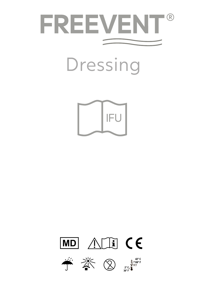

Dressing



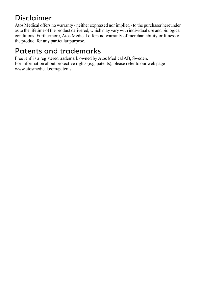#### Disclaimer

Atos Medical offers no warranty - neither expressed nor implied - to the purchaser hereunder as to the lifetime of the product delivered, which may vary with individual use and biological conditions. Furthermore, Atos Medical offers no warranty of merchantability or fitness of the product for any particular purpose.

#### Patents and trademarks

Freevent<sup>®</sup> is a registered trademark owned by Atos Medical AB, Sweden. For information about protective rights (e.g. patents), please refer to our web page www.atosmedical.com/patents.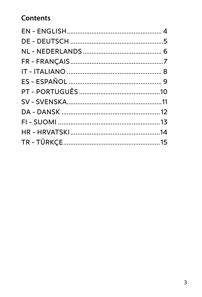#### **Contents**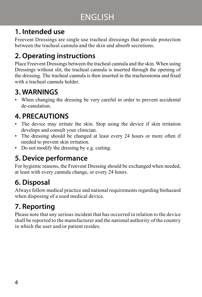### ENGLISH

#### **1. Intended use**

Freevent Dressings are single use tracheal dressings that provide protection between the tracheal cannula and the skin and absorb secretions.

#### **2. Operating instructions**

Place Freevent Dressings between the tracheal cannula and the skin. When using Dressings without slit, the tracheal cannula is inserted through the opening of the dressing. The tracheal cannula is then inserted in the tracheostoma and fixed with a tracheal cannula holder.

#### **3. WARNINGS**

• When changing the dressing be very careful in order to prevent accidental de-canulation.

#### **4. PRECAUTIONS**

- The device may irritate the skin. Stop using the device if skin irritation develops and consult your clinician.
- The dressing should be changed at least every 24 hours or more often if needed to prevent skin irritation.
- Do not modify the dressing by e.g. cutting.

#### **5. Device performance**

For hygienic reasons, the Freevent Dressing should be exchanged when needed, at least with every cannula change, or every 24 hours.

#### **6. Disposal**

Always follow medical practice and national requirements regarding biohazard when disposing of a used medical device.

#### **7. Reporting**

Please note that any serious incident that has occurred in relation to the device shall be reported to the manufacturer and the national authority of the country in which the user and/or patient resides.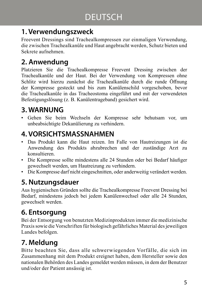#### **1. Verwendungszweck**

Freevent Dressings sind Trachealkompressen zur einmaligen Verwendung, die zwischen Trachealkanüle und Haut angebracht werden, Schutz bieten und Sekrete aufnehmen.

#### **2. Anwendung**

Platzieren Sie die Trachealkompresse Freevent Dressing zwischen der Trachealkanüle und der Haut. Bei der Verwendung von Kompressen ohne Schlitz wird hierzu zunächst die Trachealkanüle durch die runde Öffnung der Kompresse gesteckt und bis zum Kanülenschild vorgeschoben, bevor die Trachealkanüle in das Tracheostoma eingeführt und mit der verwendeten Befestigungslösung (z. B. Kanülentrageband) gesichert wird.

#### **3. WARNUNG**

• Gehen Sie beim Wechseln der Kompresse sehr behutsam vor, um unbeabsichtigte Dekanülierung zu verhindern.

#### **4. VORSICHTSMASSNAHMEN**

- Das Produkt kann die Haut reizen. Im Falle von Hautreizungen ist die Anwendung des Produkts abzubrechen und der zuständige Arzt zu konsultieren.
- Die Kompresse sollte mindestens alle 24 Stunden oder bei Bedarf häufiger gewechselt werden, um Hautreizung zu verhindern.
- Die Kompresse darf nicht eingeschnitten, oder anderweitig verändert werden.

#### **5. Nutzungsdauer**

Aus hygienischen Gründen sollte die Trachealkompresse Freevent Dressing bei Bedarf, mindestens jedoch bei jedem Kanülenwechsel oder alle 24 Stunden, gewechselt werden.

#### **6. Entsorgung**

Bei der Entsorgung von benutzten Medizinprodukten immer die medizinische Praxis sowie die Vorschriften für biologisch gefährliches Material des jeweiligen Landes befolgen.

#### **7. Meldung**

Bitte beachten Sie, dass alle schwerwiegenden Vorfälle, die sich im Zusammenhang mit dem Produkt ereignet haben, dem Hersteller sowie den nationalen Behörden des Landes gemeldet werden müssen, in dem der Benutzer und/oder der Patient ansässig ist.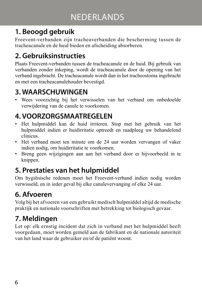#### **1. Beoogd gebruik**

Freevent-verbanden zijn tracheaverbanden die bescherming tussen de tracheacanule en de huid bieden en afscheiding absorberen.

#### **2. Gebruiksinstructies**

Plaats Freevent-verbanden tussen de tracheacanule en de huid. Bij gebruik van verbanden zonder inkeping, wordt de tracheacanule door de opening van het verband ingebracht. De tracheacanule wordt dan in het tracheostoma ingebracht en met een tracheacanulehouder bevestigd.

#### **3. WAARSCHUWINGEN**

• Wees voorzichtig bij het verwisselen van het verband om onbedoelde verwijdering van de canule te voorkomen.

#### **4. VOORZORGSMAATREGELEN**

- Het hulpmiddel kan de huid irriteren. Stop met het gebruik van het hulpmiddel indien er huidirritatie optreedt en raadpleeg uw behandelend clinicus.
- Het verband moet ten minste om de 24 uur worden vervangen of vaker indien nodig, om huidirritatie te voorkomen.
- Breng geen wijzigingen aan aan het verband door er bijvoorbeeld in te knippen.

#### **5. Prestaties van het hulpmiddel**

Om hygiënische redenen moet het Freevent-verband indien nodig worden verwisseld, en in ieder geval bij elke canulevervanging of elke 24 uur.

#### **6. Afvoeren**

Volg bij het afvoeren van een gebruikt medisch hulpmiddel altijd de medische praktijk en nationale voorschriften met betrekking tot biologisch gevaar.

#### **7. Meldingen**

Let op: elk ernstig incident dat zich in verband met het hulpmiddel heeft voorgedaan, moet worden gemeld aan de fabrikant en de nationale autoriteit van het land waar de gebruiker en/of de patiënt woont.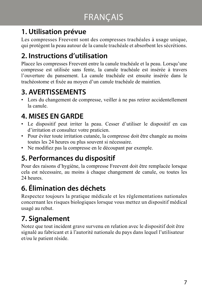#### **1. Utilisation prévue**

Les compresses Freevent sont des compresses trachéales à usage unique, qui protègent la peau autour de la canule trachéale et absorbent les sécrétions.

#### **2. Instructions d'utilisation**

Placez les compresses Freevent entre la canule trachéale et la peau. Lorsqu'une compresse est utilisée sans fente, la canule trachéale est insérée à travers l'ouverture du pansement. La canule trachéale est ensuite insérée dans le trachéostome et fixée au moyen d'un canule trachéale de maintien.

#### **3. AVERTISSEMENTS**

• Lors du changement de compresse, veiller à ne pas retirer accidentellement la canule.

#### **4. MISES EN GARDE**

- Le dispositif peut irriter la peau. Cesser d'utiliser le dispositif en cas d'irritation et consultez votre praticien.
- Pour éviter toute irritation cutanée, la compresse doit être changée au moins toutes les 24 heures ou plus souvent si nécessaire.
- Ne modifiez pas la compresse en le découpant par exemple.

#### **5. Performances du dispositif**

Pour des raisons d'hygiène, la compresse Freevent doit être remplacée lorsque cela est nécessaire, au moins à chaque changement de canule, ou toutes les 24 heures.

#### **6. Élimination des déchets**

Respectez toujours la pratique médicale et les réglementations nationales concernant les risques biologiques lorsque vous mettez un dispositif médical usagé au rebut.

#### **7. Signalement**

Notez que tout incident grave survenu en relation avec le dispositif doit être signalé au fabricant et à l'autorité nationale du pays dans lequel l'utilisateur et/ou le patient réside.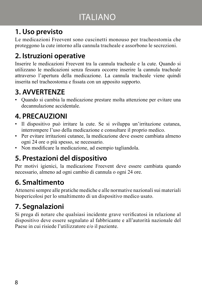#### ITALIANO

#### **1. Uso previsto**

Le medicazioni Freevent sono cuscinetti monouso per tracheostomia che proteggono la cute intorno alla cannula tracheale e assorbono le secrezioni.

#### **2. Istruzioni operative**

Inserire le medicazioni Freevent tra la cannula tracheale e la cute. Quando si utilizzano le medicazioni senza fessura occorre inserire la cannula tracheale attraverso l'apertura della medicazione. La cannula tracheale viene quindi inserita nel tracheostoma e fissata con un apposito supporto.

#### **3. AVVERTENZE**

• Quando si cambia la medicazione prestare molta attenzione per evitare una decannulazione accidentale.

#### **4. PRECAUZIONI**

- Il dispositivo può irritare la cute. Se si sviluppa un'irritazione cutanea, interrompere l'uso della medicazione e consultare il proprio medico.
- Per evitare irritazioni cutanee, la medicazione deve essere cambiata almeno ogni 24 ore o più spesso, se necessario.
- Non modificare la medicazione, ad esempio tagliandola.

#### **5. Prestazioni del dispositivo**

Per motivi igienici, la medicazione Freevent deve essere cambiata quando necessario, almeno ad ogni cambio di cannula o ogni 24 ore.

#### **6. Smaltimento**

Attenersi sempre alle pratiche mediche e alle normative nazionali sui materiali biopericolosi per lo smaltimento di un dispositivo medico usato.

#### **7. Segnalazioni**

Si prega di notare che qualsiasi incidente grave verificatosi in relazione al dispositivo deve essere segnalato al fabbricante e all'autorità nazionale del Paese in cui risiede l'utilizzatore e/o il paziente.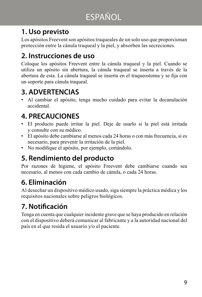### ESPAÑOL

#### **1. Uso previsto**

Los apósitos Freevent son apósitos traqueales de un solo uso que proporcionan protección entre la cánula traqueal y la piel, y absorben las secreciones.

#### **2. Instrucciones de uso**

Coloque los apósitos Freevent entre la cánula traqueal y la piel. Cuando se utiliza un apósito sin abertura, la cánula traqueal se inserta a través de la abertura de esta. La cánula traqueal se inserta en el traqueostoma y se fija con un soporte para cánula traqueal.

#### **3. ADVERTENCIAS**

• Al cambiar el apósito, tenga mucho cuidado para evitar la decanulación accidental.

#### **4. PRECAUCIONES**

- El producto puede irritar la piel. Deje de usarlo si la piel está irritada y consulte con su médico.
- El apósito debe cambiarse al menos cada 24 horas o con más frecuencia, si es necesario, para prevenir la irritación de la piel.
- No modifique el apósito, por ejemplo, cortándolo.

#### **5. Rendimiento del producto**

Por razones de higiene, el apósito Freevent debe cambiarse cuando sea necesario, al menos con cada cambio de cánula, o cada 24 horas.

#### **6. Eliminación**

Al desechar un dispositivo médico usado, siga siempre la práctica médica y los requisitos nacionales sobre peligros biológicos.

#### **7. Notificación**

Tenga en cuenta que cualquier incidente grave que se haya producido en relación con el dispositivo deberá comunicar al fabricante y a la autoridad nacional del país en el que resida el usuario y/o el paciente.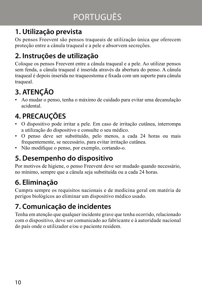#### **1. Utilização prevista**

Os pensos Freevent são pensos traqueais de utilização única que oferecem proteção entre a cânula traqueal e a pele e absorvem secreções.

#### **2. Instruções de utilização**

Coloque os pensos Freevent entre a cânula traqueal e a pele. Ao utilizar pensos sem fenda, a cânula traqueal é inserida através da abertura do penso. A cânula traqueal é depois inserida no traqueostoma e fixada com um suporte para cânula traqueal.

#### **3. ATENÇÃO**

• Ao mudar o penso, tenha o máximo de cuidado para evitar uma decanulação acidental.

#### **4. PRECAUÇÕES**

- O dispositivo pode irritar a pele. Em caso de irritação cutânea, interrompa a utilização do dispositivo e consulte o seu médico.
- O penso deve ser substituído, pelo menos, a cada 24 horas ou mais frequentemente, se necessário, para evitar irritação cutânea.
- Não modifique o penso, por exemplo, cortando-o.

#### **5. Desempenho do dispositivo**

Por motivos de higiene, o penso Freevent deve ser mudado quando necessário, no mínimo, sempre que a cânula seja substituída ou a cada 24 horas.

#### **6. Eliminação**

Cumpra sempre os requisitos nacionais e de medicina geral em matéria de perigos biológicos ao eliminar um dispositivo médico usado.

#### **7. Comunicação de incidentes**

Tenha em atenção que qualquer incidente grave que tenha ocorrido, relacionado com o dispositivo, deve ser comunicado ao fabricante e à autoridade nacional do país onde o utilizador e/ou o paciente residem.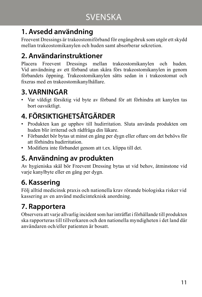#### **1. Avsedd användning**

Freevent Dressings är trakeostomiförband för engångsbruk som utgör ett skydd mellan trakeostomikanylen och huden samt absorberar sekretion.

#### **2. Användarinstruktioner**

Placera Freevent Dressings mellan trakeostomikanylen och huden. Vid användning av ett förband utan skåra förs trakeostomikanylen in genom förbandets öppning. Trakeostomikanylen sätts sedan in i trakeostomat och fixeras med en trakeostomikanylhållare.

#### **3. VARNINGAR**

• Var väldigt försiktig vid byte av förband för att förhindra att kanylen tas bort oavsiktligt.

### **4. FÖRSIKTIGHETSÅTGÄRDER**

- Produkten kan ge upphov till hudirritation. Sluta använda produkten om huden blir irriterad och rådfråga din läkare.
- Förbandet bör bytas ut minst en gång per dygn eller oftare om det behövs för att förhindra hudirritation.
- Modifiera inte förbandet genom att t.ex. klippa till det.

#### **5. Användning av produkten**

Av hygieniska skäl bör Freevent Dressing bytas ut vid behov, åtminstone vid varje kanylbyte eller en gång per dygn.

#### **6. Kassering**

Följ alltid medicinsk praxis och nationella krav rörande biologiska risker vid kassering av en använd medicinteknisk anordning.

#### **7. Rapportera**

Observera att varje allvarlig incident som har inträffat i förhållande till produkten ska rapporteras till tillverkaren och den nationella myndigheten i det land där användaren och/eller patienten är bosatt.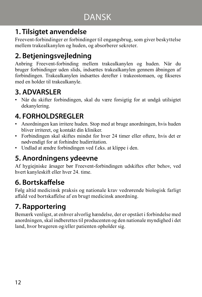#### **1. Tilsigtet anvendelse**

Freevent-forbindinger er forbindinger til engangsbrug, som giver beskyttelse mellem trakealkanylen og huden, og absorberer sekreter.

#### **2. Betjeningsvejledning**

Anbring Freevent-forbinding mellem trakealkanylen og huden. Når du bruger forbindinger uden slids, indsættes trakealkanylen gennem åbningen af forbindingen. Trakealkanylen indsættes derefter i trakeostomaen, og fikseres med en holder til trakealkanyle.

#### **3. ADVARSLER**

• Når du skifter forbindingen, skal du være forsigtig for at undgå utilsigtet dekanylering.

#### **4. FORHOLDSREGLER**

- Anordningen kan irritere huden. Stop med at bruge anordningen, hvis huden bliver irriteret, og kontakt din kliniker.
- Forbindingen skal skiftes mindst for hver 24 timer eller oftere, hvis det er nødvendigt for at forhindre hudirritation.
- Undlad at ændre forbindingen ved f.eks. at klippe i den.

#### **5. Anordningens ydeevne**

Af hygiejniske årsager bør Freevent-forbindingen udskiftes efter behov, ved hvert kanyleskift eller hver 24. time.

#### **6. Bortskaffelse**

Følg altid medicinsk praksis og nationale krav vedrørende biologisk farligt affald ved bortskaffelse af en brugt medicinsk anordning.

#### **7. Rapportering**

Bemærk venligst, at enhver alvorlig hændelse, der er opstået i forbindelse med anordningen, skal indberettes til producenten og den nationale myndighed i det land, hvor brugeren og/eller patienten opholder sig.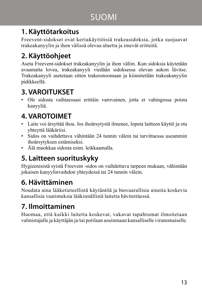#### SUOMI

#### **1. Käyttötarkoitus**

Freevent-sidokset ovat kertakäyttöisiä trakeasidoksia, jotka suojaavat trakeakanyylin ja ihon välissä olevaa aluetta ja imevät eritteitä.

#### **2. Käyttöohjeet**

Aseta Freevent-sidokset trakeakanyylin ja ihon väliin. Kun sidoksia käytetään avaamatta lovea, trakeakanyyli viedään sidoksessa olevan aukon lävitse. Trakeakanyyli asetetaan sitten trakeostoomaan ja kiinnitetään trakeakanyylin pidikkeellä.

#### **3. VAROITUKSET**

• Ole sidosta vaihtaessasi erittäin varovainen, jotta et vahingossa poista kanyyliä.

#### **4. VAROTOIMET**

- Laite voi ärsyttää ihoa. Jos ihoärsytystä ilmenee, lopeta laitteen käyttö ja ota yhteyttä lääkäriisi.
- Sidos on vaihdettava vähintään 24 tunnin välein tai tarvittaessa useammin ihoärsytyksen estämiseksi.
- Älä muokkaa sidosta esim. leikkaamalla.

#### **5. Laitteen suorituskyky**

Hygieenisistä syistä Freevent -sidos on vaihdettava tarpeen mukaan, vähintään jokaisen kanyylinvaihdon yhteydessä tai 24 tunnin välein.

#### **6. Hävittäminen**

Noudata aina lääketieteellistä käytäntöä ja biovaarallisia aineita koskevia kansallisia vaatimuksia lääkinnällistä laitetta hävitettäessä.

#### **7. Ilmoittaminen**

Huomaa, että kaikki laitetta koskevat, vakavat tapahtumat ilmoitetaan valmistajalle ja käyttäjän ja/tai potilaan asuinmaan kansalliselle viranomaiselle.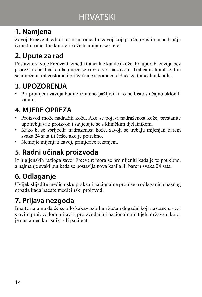### **HRVATSKI**

#### **1. Namjena**

Zavoji Freevent jednokratni su trahealni zavoji koji pružaju zaštitu u području između trahealne kanile i kože te upijaju sekrete.

#### **2. Upute za rad**

Postavite zavoje Freevent između trahealne kanile i kože. Pri uporabi zavoja bez proreza trahealna kanila umeće se kroz otvor na zavoju. Trahealna kanila zatim se umeće u traheostomu i pričvršćuje s pomoću držača za trahealnu kanilu.

#### **3. UPOZORENJA**

• Pri promjeni zavoja budite iznimno pažljivi kako ne biste slučajno uklonili kanilu.

#### **4. MJERE OPREZA**

- Proizvod može nadražiti kožu. Ako se pojavi nadraženost kože, prestanite upotrebljavati proizvod i savjetujte se s kliničkim djelatnikom.
- Kako bi se spriječila nadraženost kože, zavoji se trebaju mijenjati barem svaka 24 sata ili češće ako je potrebno.
- Nemojte mijenjati zavoj, primjerice rezanjem.

#### **5. Radni učinak proizvoda**

Iz higijenskih razloga zavoj Freevent mora se promijeniti kada je to potrebno, a najmanje svaki put kada se postavlja nova kanila ili barem svaka 24 sata.

#### **6. Odlaganje**

Uvijek slijedite medicinsku praksu i nacionalne propise o odlaganju opasnog otpada kada bacate medicinski proizvod.

#### **7. Prijava nezgoda**

Imajte na umu da će se bilo kakav ozbiljan štetan događaj koji nastane u vezi s ovim proizvodom prijaviti proizvođaču i nacionalnom tijelu države u kojoj je nastanjen korisnik i/ili pacijent.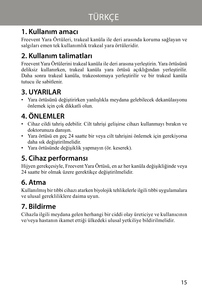#### **1. Kullanım amacı**

Freevent Yara Örtüleri, trakeal kanüla ile deri arasında koruma sağlayan ve salgıları emen tek kullanımlık trakeal yara örtüleridir.

#### **2. Kullanım talimatları**

Freevent Yara Örtülerini trakeal kanüla ile deri arasına yerleştirin. Yara örtüsünü deliksiz kullanırken, trakeal kanüla yara örtüsü açıklığından yerleştirilir. Daha sonra trakeal kanüla, trakeostomaya yerleştirilir ve bir trakeal kanüla tutucu ile sabitlenir.

#### **3. UYARILAR**

• Yara örtüsünü değiştirirken yanlışlıkla meydana gelebilecek dekanülasyonu önlemek için çok dikkatli olun.

#### **4. ÖNLEMLER**

- Cihaz cildi tahriş edebilir. Cilt tahrişi gelişirse cihazı kullanmayı bırakın ve doktorunuza danışın.
- Yara örtüsü en geç 24 saatte bir veya cilt tahrişini önlemek için gerekiyorsa daha sık değiştirilmelidir.
- Yara örtüsünde değişiklik yapmayın (ör. keserek).

#### **5. Cihaz performansı**

Hijyen gerekçesiyle, Freevent Yara Örtüsü, en az her kanüla değişikliğinde veya 24 saatte bir olmak üzere gerektikçe değiştirilmelidir.

#### **6. Atma**

Kullanılmış bir tıbbi cihazı atarken biyolojik tehlikelerle ilgili tıbbi uygulamalara ve ulusal gerekliliklere daima uyun.

#### **7. Bildirme**

Cihazla ilgili meydana gelen herhangi bir ciddi olay üreticiye ve kullanıcının ve/veya hastanın ikamet ettiği ülkedeki ulusal yetkiliye bildirilmelidir.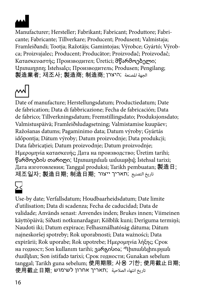

Manufacturer; Hersteller; Fabrikant; Fabricant; Produttore; Fabricante; Fabricante; Tillverkare; Producent; Produsent; Valmistaja; Framleiðandi; Tootja; Ražotājs; Gamintojas; Výrobce; Gyártó; Výrobca; Proizvajalec; Producent; Producător; Proizvođač; Proizvođač; Κατασκευαστής; Производител; Üretici; მწარმოებელი; Արտադրող; İstehsalçı; Производитель; Produsen; Pengilang; 製造業者; 제조사; 製造商; 制造商; היצרן ;املصنعة الجهة

Date of manufacture; Herstellungsdatum; Productiedatum; Date de fabrication; Data di fabbricazione; Fecha de fabricación; Data de fabrico; Tillverkningsdatum; Fremstillingsdato; Produksjonsdato; Valmistuspäivä; Framleiðsludagsetning; Valmistamise kuupäev; Ražošanas datums; Pagaminimo data; Datum výroby; Gyártás időpontja; Dátum výroby; Datum proizvodnje; Data produkcji; Data fabricației; Datum proizvodnje; Datum proizvodnje; Ημερομηνία κατασκευής; Дата на производство; Üretim tarihi; წარმოების თარიღი; Արտադրման ամսաթիվ; İstehsal tarixi; Дата изготовления; Tanggal produksi; Tarikh pembuatan; 製造日;  $\overline{\text{N}}$ تاريخ التصنيع ;תאריך ייצור ; 訓造日期; קתאריך ייצור

Use-by date; Verfallsdatum; Houdbaarheidsdatum; Date limite d'utilisation; Data di scadenza; Fecha de caducidad; Data de validade; Används senast: Anvendes inden; Brukes innen; Viimeinen käyttöpäivä; Síðasti notkunardagur; Kõlblik kuni; Derīguma termiņš; Naudoti iki; Datum expirace; Felhasználhatóság dátuma; Dátum najneskoršej spotreby; Rok uporabnosti; Data ważności; Data expirării; Rok uporabe; Rok upotrebe; Ημερομηνία λήξης; Срок на годност; Son kullanım tarihi; ვარგისია; Պիտանելիության ժամկետ; Son istifadə tarixi; Срок годности; Gunakan sebelum tanggal; Tarikh guna sebelum; 使用期限; 사용 기한; 使用截止日期; تاريخ انتهاء الصالحية ;תאריך אחרון לשימוש ;使用截止日期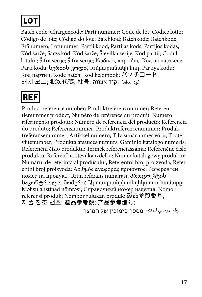## **LO1**

Batch code; Chargencode; Partijnummer; Code de lot; Codice lotto; Código de lote; Código do lote; Batchkod; Batchkode; Batchkode; Eränumero; Lotunúmer; Partii kood; Partijas kods; Partijos kodas; Kód šarže; Sarzs kód; Kód šarže; Številka serije; Kod partii; Codul lotului; Šifra serije; Šifra serije; Κωδικός παρτίδας; Код на партида; Parti kodu; სერიის კოდი; Ιυմբաքանակի կոդ; Partiya kodu; Код партии; Kode batch; Kod kelompok; バッチコード;  $H$ كود الدفعة ;קוד אצווה; 批号; אצווה + الكت

## **REF**

Product reference number; Produktreferenznummer; Referentienummer product; Numéro de référence du produit; Numero riferimento prodotto; Número de referencia del producto; Referência do produto; Referensnummer; Produktreferencenummer; Produktreferansenummer; Artikkelinumero; Tilvísunarnúmer vöru; Toote viitenumber; Produkta atsauces numurs; Gaminio katalogo numeris; Referenční číslo produktu; Termék referenciaszáma; Referenčné číslo produktu; Referenčna številka izdelka; Numer katalogowy produktu; Numărul de referință al produsului; Referentni broj proizvoda; Referentni broj proizvoda; Αριθμός αναφοράς προϊόντος; Референтен номер на продукт; Ürün referans numarası; პროდუქტის საკონტროლო ნომერი; Արտադրանքի տեղեկատու համարը; Məhsula istinad nömrəsi; Справочный номер изделия; Nomor referensi produk; Nombor rujukan produk; 製品参照番号; 제품 참조 번호; 產品參考號; 产品参考编号;

الرقم املرجعي للمنتج ;מספר סימוכין של המוצר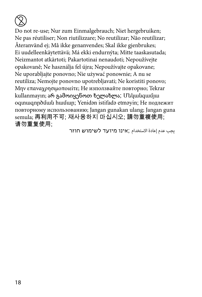

Do not re-use; Nur zum Einmalgebrauch; Niet hergebruiken; Ne pas réutiliser; Non riutilizzare; No reutilizar; Não reutilizar; Återanvänd ej; Må ikke genanvendes; Skal ikke gjenbrukes; Ei uudelleenkäytettävä; Má ekki endurnýta; Mitte taaskasutada; Neizmantot atkārtoti; Pakartotinai nenaudoti; Nepoužívejte opakovaně; Ne használja fel újra; Nepoužívajte opakovane; Ne uporabljajte ponovno; Nie używać ponownie; A nu se reutiliza; Nemojte ponovno upotrebljavati; Ne koristiti ponovo; Μην επαναχρησιμοποιείτε; Не използвайте повторно; Tekrar kullanmayın; არ გამოიყენოთ ხელახლა; Մեկանգամյա օգտագործման համար; Yenidən istifadə etməyin; Не подлежит повторному использованию; Jangan gunakan ulang; Jangan guna semula; 再利用不可; 재사용하지 마십시오; 請勿重複使用; 请勿重复使用;

يجب عدم إعادة االستخدام ;אינו מיועד לשימוש חוזר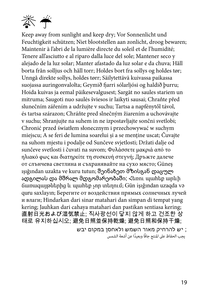

Keep away from sunlight and keep dry; Vor Sonnenlicht und Feuchtigkeit schützen; Niet blootstellen aan zonlicht, droog bewaren; Maintenir à l'abri de la lumière directe du soleil et de l'humidité; Tenere all'asciutto e al riparo dalla luce del sole; Mantener seco y alejado de la luz solar; Manter afastado da luz solar e da chuva; Håll borta från solljus och håll torr; Holdes bort fra sollys og holdes tør; Unngå direkte sollys, holdes tørr; Säilytettävä kuivassa paikassa suojassa auringonvalolta; Geymið fjarri sólarljósi og haldið þurru; Hoida kuivas ja eemal päikesevalgusest; Sargāt no saules stariem un mitruma; Saugoti nuo saulės šviesos ir laikyti sausai; Chraňte před slunečním zářením a udržujte v suchu; Tartsa a napfénytől távol, és tartsa szárazon; Chráňte pred slnečným žiarením a uchovávajte v suchu; Shranjujte na suhem in ne izpostavljajte sončni svetlobi; Chronić przed światłem słonecznym i przechowywać w suchym miejscu; A se feri de lumina soarelui și a se menține uscat; Čuvajte na suhom mjestu i podalje od Sunčeve svjetlosti; Držati dalje od sunčeve svetlosti i čuvati na suvom; Φυλάσσετε μακριά από το ηλιακό φως και διατηρείτε τη συσκευή στεγνή; Дръжте далече от слънчева светлина и съхранявайте на сухо място; Güneş ışığından uzakta ve kuru tutun; შეინახეთ მზისგან დაცულ ადგილას და მშრალ მდგომარეობაში; Հեռու պահեք արևի ճառագայթներից և պահեք չոր տեղում; Gün işığından uzaqda və quru saxlayın; Берегите от воздействия прямых солнечных лучей и влаги; Hindarkan dari sinar matahari dan simpan di tempat yang kering; Jauhkan dari cahaya matahari dan pastikan sentiasa kering; 直射日光および湿気禁止; 직사광선이 닿지 않게 하고 건조한 상 태로 유지하십시오; 避免日照並保持乾燥; 避免日照和保持干燥;

; יש להרחיק מאור השמש ולאחסן במקום יבש يجب الحفاظ عىل املنتج جافً ً ا وبعيدا عن أشعة الشمس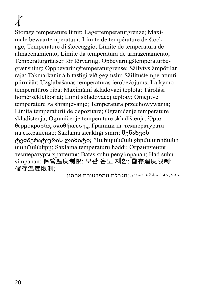# $\lambda$

Storage temperature limit; Lagertemperaturgrenze; Maximale bewaartemperatuur; Limite de température de stockage; Temperature di stoccaggio; Límite de temperatura de almacenamiento; Limite da temperatura de armazenamento; Temperaturgränser för förvaring; Opbevaringstemperaturbegrænsning; Oppbevaringstemperaturgrense; Säilytyslämpötilan raja; Takmarkanir á hitastigi við geymslu; Säilitustemperatuuri piirmäär; Uzglabāšanas temperatūras ierobežojums; Laikymo temperatūros riba; Maximální skladovací teplota; Tárolási hőmérsékletkorlát; Limit skladovacej teploty; Omejitve temperature za shranjevanje; Temperatura przechowywania; Limita temperaturii de depozitare; Ograničenje temperature skladištenja; Ograničenje temperature skladištenja; Όρια θερμοκρασίας αποθήκευσης; Граници на температурата на съхранение; Saklama sıcaklığı sınırı; შენახვის ტემპერატურის ლიმიტი; Պահպանման ջերմաստիճանի սահմանները; Saxlama temperaturu həddi; Ограничения температуры хранения; Batas suhu penyimpanan; Had suhu simpanan; 保管温度制限; 보관 온도 제한; 儲存溫度限制; 储存温度限制;

حد درجة الحرارة والتخزين ;הגבלת טמפרטורת אחסון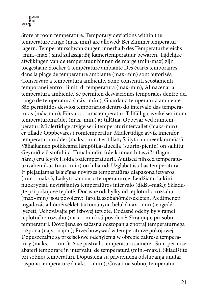<sub>min</sub> î<sup>rt</sup>  $\mathbb{R}$ -MAX

Store at room temperature. Temporary deviations within the temperature range (max-min) are allowed; Bei Zimmertemperatur lagern. Temperaturschwankungen innerhalb des Temperaturbereichs (min.–max.) sind zulässig; Bij kamertemperatuur bewaren. Tijdelijke afwijkingen van de temperatuur binnen de marge (min-max) zijn toegestaan; Stocker à température ambiante Des écarts temporaires dans la plage de température ambiante (max-min) sont autorisés; Conservare a temperatura ambiente. Sono consentiti scostamenti temporanei entro i limiti di temperatura (max-min); Almacenar a temperatura ambiente. Se permiten desviaciones temporales dentro del rango de temperatura (máx.-mín.); Guardar à temperatura ambiente. São permitidos desvios temporários dentro do intervalo das temperaturas (máx-min); Förvara i rumstemperatur. Tillfälliga avvikelser inom temperaturområdet (max–min.) är tillåtna; Opbevar ved rumtemperatur. Midlertidige afvigelser i temperaturintervallet (maks-min) er tilladt; Oppbevares i romtemperatur. Midlertidige avvik innenfor temperaturområdet (maks.–min.) er tillatt; Säilytä huoneenlämmössä. Väliaikainen poikkeama lämpötila-alueella (suurin-pienin) on sallittu; Geymið við stofuhita. Tímabundin frávik innan hitasviðs (lágm.– hám.) eru leyfð; Hoida toatemperatuuril. Ajutised nihked temperatuurivahemikus (max–min) on lubatud; Uzglabāt istabas temperatūrā. Ir pieļaujamas īslaicīgas novirzes temperatūras diapazona ietvaros (min.–maks.); Laikyti kambario temperatūroje. Leidžiami laikini nuokrypiai, neviršijantys temperatūros intervalo (didž.–maž.); Skladujte při pokojové teplotě. Dočasné odchylky od teplotního rozsahu (max–min) jsou povoleny; Tárolja szobahőmérsékleten. Az átmeneti ingadozás a hőmérséklet-tartományon belül (max.–min.) engedélyezett; Uchovávajte pri izbovej teplote. Dočasné odchýlky v rámci teplotného rozsahu (max – min) sú povolené; Shranjujte pri sobni temperaturi. Dovoljena so začasna odstopanja znotraj temperaturnega razpona (najv.–najm.); Przechowywać w temperaturze pokojowej. Dopuszczalne są przejściowe odchylenia w obrębie zakresu temperatury (maks. — min.); A se păstra la temperatura camerei. Sunt permise abateri temporare în intervalul de temperatură (min.–max.); Skladištite pri sobnoj temperaturi. Dopuštena su privremena odstupanja unutar raspona temperature (maks. – min.); Čuvati na sobnoj temperaturi.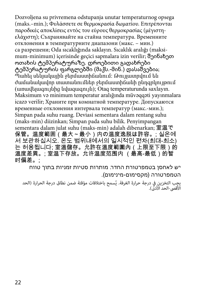Dozvoljena su privremena odstupanja unutar temperaturnog opsega (maks.–min.); Φυλάσσετε σε θερμοκρασία δωματίου. Επιτρέπονται παροδικές αποκλίσεις εντός του εύρους θερμοκρασίας (μέγιστηελάχιστη); Съхранявайте на стайна температура. Временните отклонения в температурните диапазони (макс. – мин.) са разрешени; Oda sıcaklığında saklayın. Sıcaklık aralığı (maksimum-minimum) içerisinde geçici sapmalara izin verilir; შეინახეთ ოთახის ტემპერატურაზე. დროებითი გადახრები ტემპერატურის ფარგლებში (მაქს.-მინ.) დასაშვებია; Պահել սենյակային ջերմաստիճանում: Թույլատրվում են ժամանակավոր տատանումներ ջերմաստիճանի ընդգրկույթում (առավելագույնից նվազագույն); Otaq temperaturunda saxlayın. Maksimum və minimum temperatur aralığında müvəqqəti yayınmalara icazə verilir; Храните при комнатной температуре. Допускаются временные отклонения интервала температур (макс.-мин.); Simpan pada suhu ruang. Deviasi sementara dalam rentang suhu (maks-min) diizinkan; Simpan pada suhu bilik. Penyimpangan sementara dalam julat suhu (maks-min) adalah dibenarkan; 室温で 保管。温度範囲(最大~最小)内の温度逸脱は許容。; 실온에 서 보관하십시오. 온도 범위내에서의 일시적인 편차(최대-최소) 는 허용됩니다; 室溫儲存。允許在溫度範圍內(上限至下限)的 溫度差異。; 室温下存放。允许温度范围内 (最高-最低)的暂 时偏差。;

יש לאחסן בטמפרטורת החדר. מותרות סטיות זמניות בתוך טווח הטמפרטורה )מקסימום-מינימום(.

بصب التخزين في درجة حرارة الغرفة. يُسمح باختلافات مؤقتة ضمن نطاق درجة الحرارة (الحد<br>لأقص-الحد الأدل).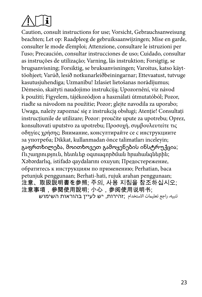

Caution, consult instructions for use; Vorsicht, Gebrauchsanweisung beachten; Let op: Raadpleeg de gebruiksaanwijzingen; Mise en garde, consulter le mode d'emploi; Attenzione, consultare le istruzioni per l'uso; Precaución, consultar instrucciones de uso; Cuidado, consultar as instruções de utilização; Varning, läs instruktion; Forsigtig, se brugsanvisning; Forsiktig, se bruksanvisningen; Varoitus, katso käyttöohjeet; Varúð, lesið notkunarleiðbeiningarnar; Ettevaatust, tutvuge kasutusjuhendiga; Uzmanību! Izlasiet lietošanas norādījumus; Dėmesio, skaityti naudojimo instrukciją; Upozornění, viz návod k použití; Figyelem, tájékozódjon a használati útmutatóból; Pozor, riaďte sa návodom na použitie; Pozor; glejte navodila za uporabo; Uwaga, należy zapoznać się z instrukcją obsługi; Atenție! Consultați instrucțiunile de utilizare; Pozor: proučite upute za upotrebu; Oprez, konsultovati uputstvo za upotrebu; Προσοχή, συμβουλευτείτε τις οδηγίες χρήσης; Внимание, консултирайте се с инструкциите за употреба; Dikkat, kullanmadan önce talimatları inceleyin; გაფრთხილება, მოითხოვეთ გამოყენების ინსტრუქცია; Ուշադրություն, հետևեք օգտագործման հրահանգներին; Xəbərdarlıq, istifadə qaydalarını oxuyun; Предостережение, обратитесь к инструкциям по применению; Perhatian, baca petunjuk penggunaan; Berhati-hati, rujuk arahan penggunaan; 注意、取扱説明書を参照; 주의, 사용 지침을 참조하십시오; 注意事項,參閱使用說明; 小心,参阅使用说明书; تنبيه، راجع تعليامت االستخدام ;זהירות, יש לעיין בהוראות השימוש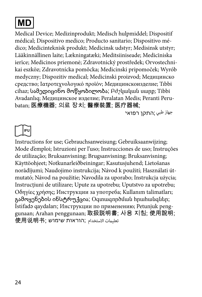

Medical Device; Medizinprodukt; Medisch hulpmiddel; Dispositif médical; Dispositivo medico; Producto sanitario; Dispositivo médico; Medicinteknisk produkt; Medicinsk udstyr; Medisinsk utstyr; Lääkinnällinen laite; Lækningatæki; Meditsiiniseade; Medicīniska ierīce; Medicinos priemonė; Zdravotnický prostředek; Orvostechnikai eszköz; Zdravotnícka pomôcka; Medicinski pripomoček; Wyrób medyczny; Dispozitiv medical; Medicinski proizvod; Медицинско средство; Іατροτεχνολογικό προϊόν; Медицинскоизделие; Tıbbi cihaz; სამედიცინო მოწყობილობა; Բժշկական սարք; Tibbi Avadanlıq; Медицинское изделие; Peralatan Medis; Peranti Perubatan; 医療機器; 의료 장치; 醫療裝置; 医疗器械;

جهاز طبي ;התקן רפואי

**IFU**

Instructions for use; Gebrauchsanweisung; Gebruiksaanwijzing; Mode d'emploi; Istruzioni per l'uso; Instrucciones de uso; Instruções de utilização; Bruksanvisning; Brugsanvisning; Bruksanvisning; Käyttöohjeet; Notkunarleiðbeiningar; Kasutusjuhend; Lietošanas norādījumi; Naudojimo instrukcija; Návod k použití; Használati útmutató; Návod na použitie; Navodila za uporabo; Instrukcja użycia; Instrucțiuni de utilizare; Upute za upotrebu; Uputstvo za upotrebu; Οδηγίες χρήσης; Инструкции за употреба; Kullanım talimatları; გამოყენების ინსტრუქცია; Օգտագործման հրահանգներ; İstifadə qaydaları; Инструкции по применению; Petunjuk penggunaan; Arahan penggunaan; 取扱説明書; 사용 지침; 使用說明; تعليامت االستخدام ;הוראות שימוש ;使用说明书